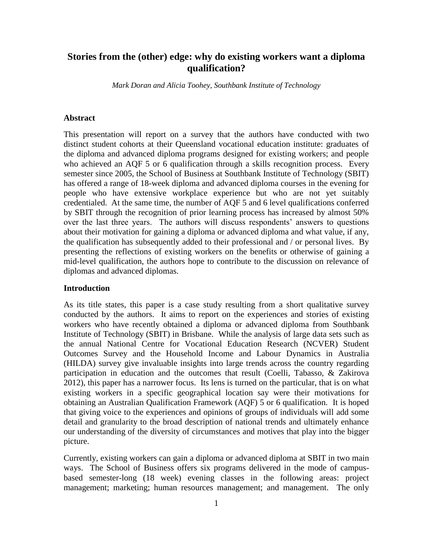# **Stories from the (other) edge: why do existing workers want a diploma qualification?**

*Mark Doran and Alicia Toohey, Southbank Institute of Technology*

### **Abstract**

This presentation will report on a survey that the authors have conducted with two distinct student cohorts at their Queensland vocational education institute: graduates of the diploma and advanced diploma programs designed for existing workers; and people who achieved an AQF 5 or 6 qualification through a skills recognition process. Every semester since 2005, the School of Business at Southbank Institute of Technology (SBIT) has offered a range of 18-week diploma and advanced diploma courses in the evening for people who have extensive workplace experience but who are not yet suitably credentialed. At the same time, the number of AQF 5 and 6 level qualifications conferred by SBIT through the recognition of prior learning process has increased by almost 50% over the last three years. The authors will discuss respondents' answers to questions about their motivation for gaining a diploma or advanced diploma and what value, if any, the qualification has subsequently added to their professional and / or personal lives. By presenting the reflections of existing workers on the benefits or otherwise of gaining a mid-level qualification, the authors hope to contribute to the discussion on relevance of diplomas and advanced diplomas.

#### **Introduction**

As its title states, this paper is a case study resulting from a short qualitative survey conducted by the authors. It aims to report on the experiences and stories of existing workers who have recently obtained a diploma or advanced diploma from Southbank Institute of Technology (SBIT) in Brisbane. While the analysis of large data sets such as the annual National Centre for Vocational Education Research (NCVER) Student Outcomes Survey and the Household Income and Labour Dynamics in Australia (HILDA) survey give invaluable insights into large trends across the country regarding participation in education and the outcomes that result (Coelli, Tabasso, & Zakirova 2012), this paper has a narrower focus. Its lens is turned on the particular, that is on what existing workers in a specific geographical location say were their motivations for obtaining an Australian Qualification Framework (AQF) 5 or 6 qualification. It is hoped that giving voice to the experiences and opinions of groups of individuals will add some detail and granularity to the broad description of national trends and ultimately enhance our understanding of the diversity of circumstances and motives that play into the bigger picture.

Currently, existing workers can gain a diploma or advanced diploma at SBIT in two main ways. The School of Business offers six programs delivered in the mode of campusbased semester-long (18 week) evening classes in the following areas: project management; marketing; human resources management; and management. The only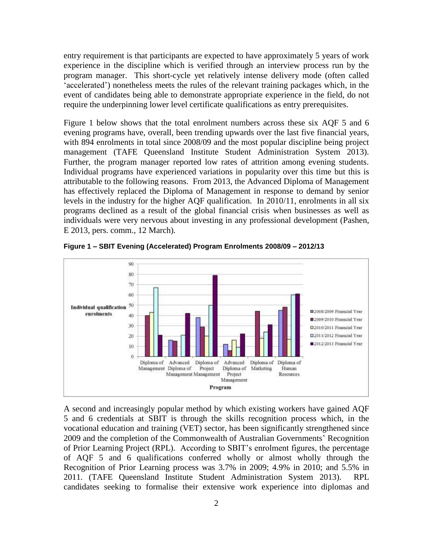entry requirement is that participants are expected to have approximately 5 years of work experience in the discipline which is verified through an interview process run by the program manager. This short-cycle yet relatively intense delivery mode (often called 'accelerated') nonetheless meets the rules of the relevant training packages which, in the event of candidates being able to demonstrate appropriate experience in the field, do not require the underpinning lower level certificate qualifications as entry prerequisites.

Figure 1 below shows that the total enrolment numbers across these six AQF 5 and 6 evening programs have, overall, been trending upwards over the last five financial years, with 894 enrolments in total since 2008/09 and the most popular discipline being project management (TAFE Queensland Institute Student Administration System 2013). Further, the program manager reported low rates of attrition among evening students. Individual programs have experienced variations in popularity over this time but this is attributable to the following reasons. From 2013, the Advanced Diploma of Management has effectively replaced the Diploma of Management in response to demand by senior levels in the industry for the higher AQF qualification. In 2010/11, enrolments in all six programs declined as a result of the global financial crisis when businesses as well as individuals were very nervous about investing in any professional development (Pashen, E 2013, pers. comm., 12 March)*.*



**Figure 1 – SBIT Evening (Accelerated) Program Enrolments 2008/09 – 2012/13**

A second and increasingly popular method by which existing workers have gained AQF 5 and 6 credentials at SBIT is through the skills recognition process which, in the vocational education and training (VET) sector, has been significantly strengthened since 2009 and the completion of the Commonwealth of Australian Governments' Recognition of Prior Learning Project (RPL). According to SBIT's enrolment figures, the percentage of AQF 5 and 6 qualifications conferred wholly or almost wholly through the Recognition of Prior Learning process was 3.7% in 2009; 4.9% in 2010; and 5.5% in 2011. (TAFE Queensland Institute Student Administration System 2013). RPL candidates seeking to formalise their extensive work experience into diplomas and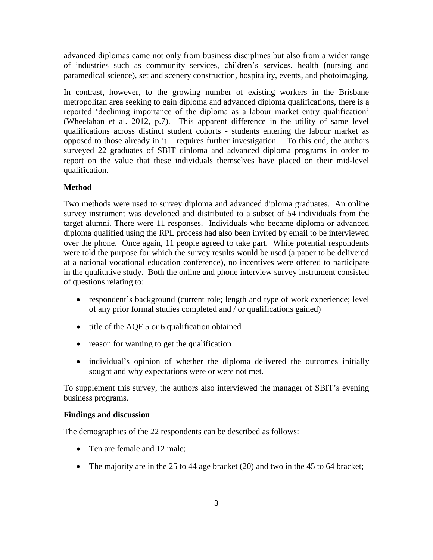advanced diplomas came not only from business disciplines but also from a wider range of industries such as community services, children's services, health (nursing and paramedical science), set and scenery construction, hospitality, events, and photoimaging.

In contrast, however, to the growing number of existing workers in the Brisbane metropolitan area seeking to gain diploma and advanced diploma qualifications, there is a reported 'declining importance of the diploma as a labour market entry qualification' (Wheelahan et al. 2012, p.7). This apparent difference in the utility of same level qualifications across distinct student cohorts - students entering the labour market as opposed to those already in it – requires further investigation. To this end, the authors surveyed 22 graduates of SBIT diploma and advanced diploma programs in order to report on the value that these individuals themselves have placed on their mid-level qualification.

# **Method**

Two methods were used to survey diploma and advanced diploma graduates. An online survey instrument was developed and distributed to a subset of 54 individuals from the target alumni. There were 11 responses. Individuals who became diploma or advanced diploma qualified using the RPL process had also been invited by email to be interviewed over the phone. Once again, 11 people agreed to take part. While potential respondents were told the purpose for which the survey results would be used (a paper to be delivered at a national vocational education conference), no incentives were offered to participate in the qualitative study. Both the online and phone interview survey instrument consisted of questions relating to:

- respondent's background (current role; length and type of work experience; level of any prior formal studies completed and / or qualifications gained)
- $\bullet$  title of the AQF 5 or 6 qualification obtained
- reason for wanting to get the qualification
- individual's opinion of whether the diploma delivered the outcomes initially sought and why expectations were or were not met.

To supplement this survey, the authors also interviewed the manager of SBIT's evening business programs.

## **Findings and discussion**

The demographics of the 22 respondents can be described as follows:

- Ten are female and 12 male:
- The majority are in the 25 to 44 age bracket (20) and two in the 45 to 64 bracket;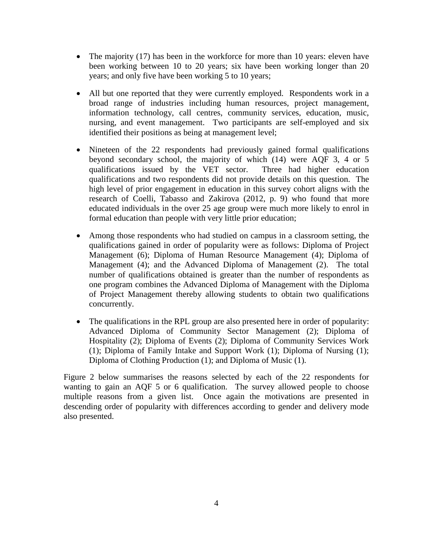- The majority (17) has been in the workforce for more than 10 years: eleven have been working between 10 to 20 years; six have been working longer than 20 years; and only five have been working 5 to 10 years;
- All but one reported that they were currently employed. Respondents work in a broad range of industries including human resources, project management, information technology, call centres, community services, education, music, nursing, and event management. Two participants are self-employed and six identified their positions as being at management level;
- Nineteen of the 22 respondents had previously gained formal qualifications beyond secondary school, the majority of which (14) were AQF 3, 4 or 5 qualifications issued by the VET sector. Three had higher education qualifications and two respondents did not provide details on this question. The high level of prior engagement in education in this survey cohort aligns with the research of Coelli, Tabasso and Zakirova (2012, p. 9) who found that more educated individuals in the over 25 age group were much more likely to enrol in formal education than people with very little prior education;
- Among those respondents who had studied on campus in a classroom setting, the qualifications gained in order of popularity were as follows: Diploma of Project Management (6); Diploma of Human Resource Management (4); Diploma of Management (4); and the Advanced Diploma of Management (2). The total number of qualifications obtained is greater than the number of respondents as one program combines the Advanced Diploma of Management with the Diploma of Project Management thereby allowing students to obtain two qualifications concurrently.
- The qualifications in the RPL group are also presented here in order of popularity: Advanced Diploma of Community Sector Management (2); Diploma of Hospitality (2); Diploma of Events (2); Diploma of Community Services Work (1); Diploma of Family Intake and Support Work (1); Diploma of Nursing (1); Diploma of Clothing Production (1); and Diploma of Music (1).

Figure 2 below summarises the reasons selected by each of the 22 respondents for wanting to gain an AQF 5 or 6 qualification. The survey allowed people to choose multiple reasons from a given list. Once again the motivations are presented in descending order of popularity with differences according to gender and delivery mode also presented.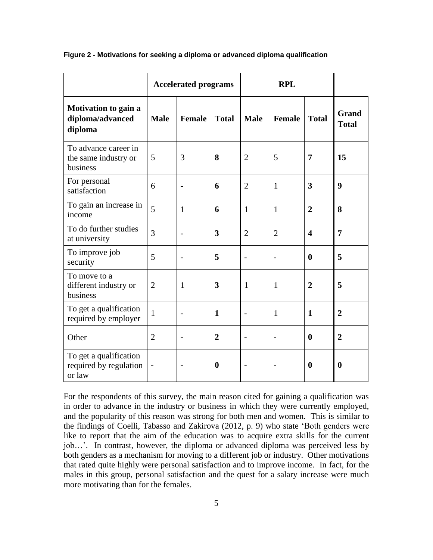|                                                            | <b>Accelerated programs</b> |                          |                | <b>RPL</b>        |                |                         |                              |
|------------------------------------------------------------|-----------------------------|--------------------------|----------------|-------------------|----------------|-------------------------|------------------------------|
| <b>Motivation to gain a</b><br>diploma/advanced<br>diploma | <b>Male</b>                 | <b>Female</b>            | <b>Total</b>   | <b>Male</b>       | <b>Female</b>  | <b>Total</b>            | <b>Grand</b><br><b>Total</b> |
| To advance career in<br>the same industry or<br>business   | 5                           | 3                        | 8              | $\overline{2}$    | 5              | 7                       | 15                           |
| For personal<br>satisfaction                               | 6                           |                          | 6              | $\overline{2}$    | $\mathbf{1}$   | 3                       | 9                            |
| To gain an increase in<br>income                           | 5                           | 1                        | 6              | 1                 | $\mathbf{1}$   | $\overline{2}$          | 8                            |
| To do further studies<br>at university                     | 3                           |                          | 3              | $\overline{2}$    | $\overline{2}$ | $\overline{\mathbf{4}}$ | $\overline{7}$               |
| To improve job<br>security                                 | 5                           |                          | 5              | -                 |                | $\boldsymbol{0}$        | 5                            |
| To move to a<br>different industry or<br>business          | $\overline{2}$              | 1                        | 3              | $\mathbf{1}$      | $\mathbf{1}$   | $\overline{2}$          | 5                            |
| To get a qualification<br>required by employer             | $\mathbf{1}$                | $\overline{\phantom{0}}$ | $\mathbf{1}$   | $\qquad \qquad -$ | $\mathbf{1}$   | $\mathbf{1}$            | $\mathbf{2}$                 |
| Other                                                      | $\overline{2}$              |                          | $\overline{2}$ |                   |                | $\boldsymbol{0}$        | $\overline{2}$               |
| To get a qualification<br>required by regulation<br>or law |                             |                          | $\mathbf{0}$   |                   |                | $\boldsymbol{0}$        | $\bf{0}$                     |

#### **Figure 2 - Motivations for seeking a diploma or advanced diploma qualification**

For the respondents of this survey, the main reason cited for gaining a qualification was in order to advance in the industry or business in which they were currently employed, and the popularity of this reason was strong for both men and women. This is similar to the findings of Coelli, Tabasso and Zakirova (2012, p. 9) who state 'Both genders were like to report that the aim of the education was to acquire extra skills for the current job…'. In contrast, however, the diploma or advanced diploma was perceived less by both genders as a mechanism for moving to a different job or industry. Other motivations that rated quite highly were personal satisfaction and to improve income. In fact, for the males in this group, personal satisfaction and the quest for a salary increase were much more motivating than for the females.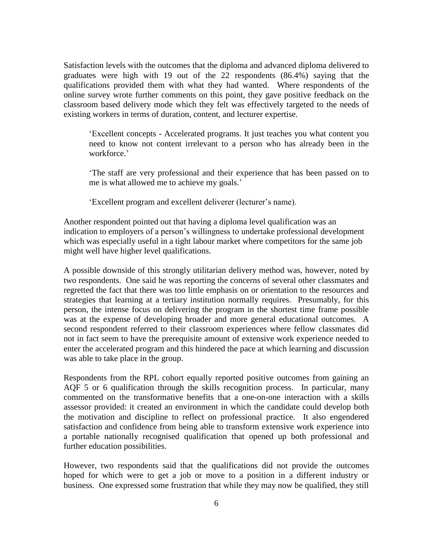Satisfaction levels with the outcomes that the diploma and advanced diploma delivered to graduates were high with 19 out of the 22 respondents (86.4%) saying that the qualifications provided them with what they had wanted. Where respondents of the online survey wrote further comments on this point, they gave positive feedback on the classroom based delivery mode which they felt was effectively targeted to the needs of existing workers in terms of duration, content, and lecturer expertise.

'Excellent concepts - Accelerated programs. It just teaches you what content you need to know not content irrelevant to a person who has already been in the workforce.'

'The staff are very professional and their experience that has been passed on to me is what allowed me to achieve my goals.'

'Excellent program and excellent deliverer (lecturer's name).

Another respondent pointed out that having a diploma level qualification was an indication to employers of a person's willingness to undertake professional development which was especially useful in a tight labour market where competitors for the same job might well have higher level qualifications.

A possible downside of this strongly utilitarian delivery method was, however, noted by two respondents. One said he was reporting the concerns of several other classmates and regretted the fact that there was too little emphasis on or orientation to the resources and strategies that learning at a tertiary institution normally requires. Presumably, for this person, the intense focus on delivering the program in the shortest time frame possible was at the expense of developing broader and more general educational outcomes. A second respondent referred to their classroom experiences where fellow classmates did not in fact seem to have the prerequisite amount of extensive work experience needed to enter the accelerated program and this hindered the pace at which learning and discussion was able to take place in the group.

Respondents from the RPL cohort equally reported positive outcomes from gaining an AQF 5 or 6 qualification through the skills recognition process. In particular, many commented on the transformative benefits that a one-on-one interaction with a skills assessor provided: it created an environment in which the candidate could develop both the motivation and discipline to reflect on professional practice. It also engendered satisfaction and confidence from being able to transform extensive work experience into a portable nationally recognised qualification that opened up both professional and further education possibilities.

However, two respondents said that the qualifications did not provide the outcomes hoped for which were to get a job or move to a position in a different industry or business. One expressed some frustration that while they may now be qualified, they still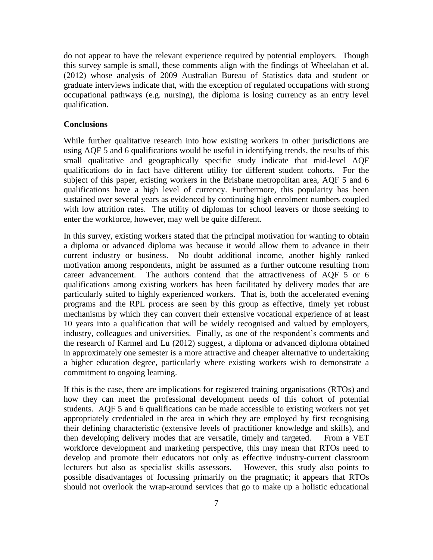do not appear to have the relevant experience required by potential employers. Though this survey sample is small, these comments align with the findings of Wheelahan et al. (2012) whose analysis of 2009 Australian Bureau of Statistics data and student or graduate interviews indicate that, with the exception of regulated occupations with strong occupational pathways (e.g. nursing), the diploma is losing currency as an entry level qualification.

### **Conclusions**

While further qualitative research into how existing workers in other jurisdictions are using AQF 5 and 6 qualifications would be useful in identifying trends, the results of this small qualitative and geographically specific study indicate that mid-level AQF qualifications do in fact have different utility for different student cohorts. For the subject of this paper, existing workers in the Brisbane metropolitan area, AQF 5 and 6 qualifications have a high level of currency. Furthermore, this popularity has been sustained over several years as evidenced by continuing high enrolment numbers coupled with low attrition rates. The utility of diplomas for school leavers or those seeking to enter the workforce, however, may well be quite different.

In this survey, existing workers stated that the principal motivation for wanting to obtain a diploma or advanced diploma was because it would allow them to advance in their current industry or business. No doubt additional income, another highly ranked motivation among respondents, might be assumed as a further outcome resulting from career advancement. The authors contend that the attractiveness of AQF 5 or 6 qualifications among existing workers has been facilitated by delivery modes that are particularly suited to highly experienced workers. That is, both the accelerated evening programs and the RPL process are seen by this group as effective, timely yet robust mechanisms by which they can convert their extensive vocational experience of at least 10 years into a qualification that will be widely recognised and valued by employers, industry, colleagues and universities. Finally, as one of the respondent's comments and the research of Karmel and Lu (2012) suggest, a diploma or advanced diploma obtained in approximately one semester is a more attractive and cheaper alternative to undertaking a higher education degree, particularly where existing workers wish to demonstrate a commitment to ongoing learning.

If this is the case, there are implications for registered training organisations (RTOs) and how they can meet the professional development needs of this cohort of potential students. AQF 5 and 6 qualifications can be made accessible to existing workers not yet appropriately credentialed in the area in which they are employed by first recognising their defining characteristic (extensive levels of practitioner knowledge and skills), and then developing delivery modes that are versatile, timely and targeted. From a VET workforce development and marketing perspective, this may mean that RTOs need to develop and promote their educators not only as effective industry-current classroom lecturers but also as specialist skills assessors. However, this study also points to possible disadvantages of focussing primarily on the pragmatic; it appears that RTOs should not overlook the wrap-around services that go to make up a holistic educational